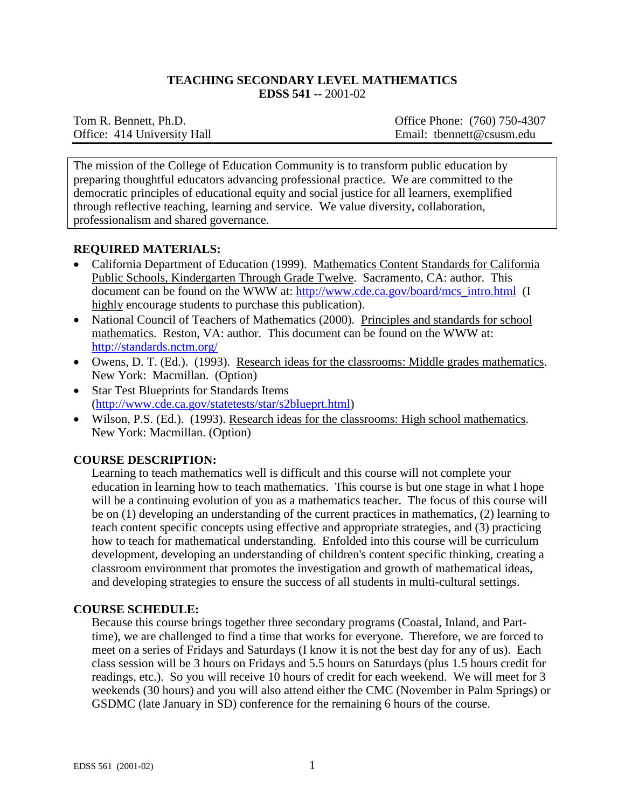### **TEACHING SECONDARY LEVEL MATHEMATICS EDSS 541 --** 2001-02

Tom R. Bennett, Ph.D. Office Phone: (760) 750-4307 Office: 414 University Hall Email: tbennett@csusm.edu

The mission of the College of Education Community is to transform public education by preparing thoughtful educators advancing professional practice. We are committed to the democratic principles of educational equity and social justice for all learners, exemplified through reflective teaching, learning and service. We value diversity, collaboration, professionalism and shared governance.

# **REQUIRED MATERIALS:**

- California Department of Education (1999). Mathematics Content Standards for California Public Schools, Kindergarten Through Grade Twelve. Sacramento, CA: author. This document can be found on the WWW at: [http://www.cde.ca.gov/board/mcs\\_intro.html](http://www.cde.ca.gov/board/mcs_intro.html) (I highly encourage students to purchase this publication).
- National Council of Teachers of Mathematics (2000). Principles and standards for school mathematics. Reston, VA: author. This document can be found on the WWW at: <http://standards.nctm.org/>
- Owens, D. T. (Ed.). (1993). Research ideas for the classrooms: Middle grades mathematics. New York: Macmillan. (Option)
- Star Test Blueprints for Standards Items [\(http://www.cde.ca.gov/statetests/star/s2blueprt.html\)](http://www.cde.ca.gov/statetests/star/s2blueprt.html)
- Wilson, P.S. (Ed.). (1993). Research ideas for the classrooms: High school mathematics. New York: Macmillan. (Option)

# **COURSE DESCRIPTION:**

Learning to teach mathematics well is difficult and this course will not complete your education in learning how to teach mathematics. This course is but one stage in what I hope will be a continuing evolution of you as a mathematics teacher. The focus of this course will be on (1) developing an understanding of the current practices in mathematics, (2) learning to teach content specific concepts using effective and appropriate strategies, and (3) practicing how to teach for mathematical understanding. Enfolded into this course will be curriculum development, developing an understanding of children's content specific thinking, creating a classroom environment that promotes the investigation and growth of mathematical ideas, and developing strategies to ensure the success of all students in multi-cultural settings.

### **COURSE SCHEDULE:**

Because this course brings together three secondary programs (Coastal, Inland, and Parttime), we are challenged to find a time that works for everyone. Therefore, we are forced to meet on a series of Fridays and Saturdays (I know it is not the best day for any of us). Each class session will be 3 hours on Fridays and 5.5 hours on Saturdays (plus 1.5 hours credit for readings, etc.). So you will receive 10 hours of credit for each weekend. We will meet for 3 weekends (30 hours) and you will also attend either the CMC (November in Palm Springs) or GSDMC (late January in SD) conference for the remaining 6 hours of the course.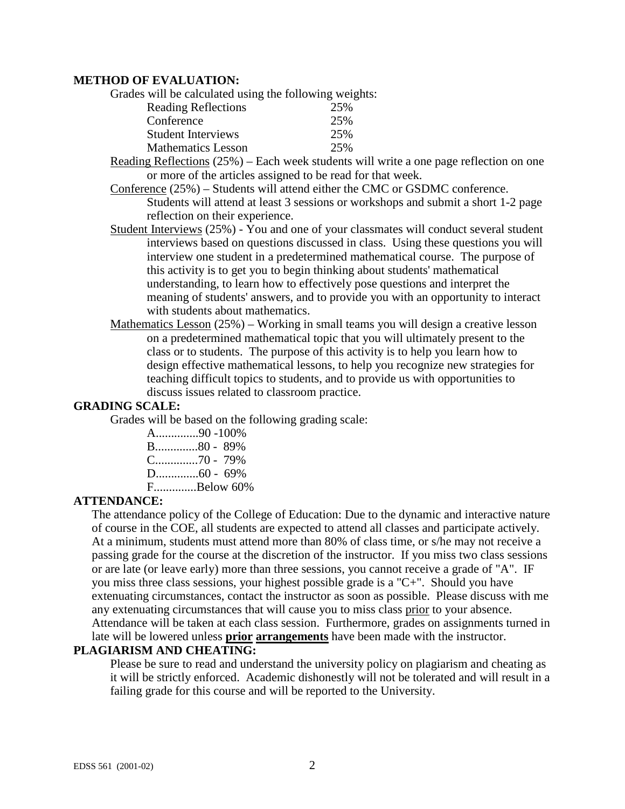## **METHOD OF EVALUATION:**

Grades will be calculated using the following weights:

| <b>Reading Reflections</b> | 25% |
|----------------------------|-----|
| Conference                 | 25% |
| <b>Student Interviews</b>  | 25% |
| <b>Mathematics Lesson</b>  | 25% |

- Reading Reflections  $(25%)$  Each week students will write a one page reflection on one or more of the articles assigned to be read for that week.
- Conference (25%) Students will attend either the CMC or GSDMC conference. Students will attend at least 3 sessions or workshops and submit a short 1-2 page reflection on their experience.
- Student Interviews (25%) You and one of your classmates will conduct several student interviews based on questions discussed in class. Using these questions you will interview one student in a predetermined mathematical course. The purpose of this activity is to get you to begin thinking about students' mathematical understanding, to learn how to effectively pose questions and interpret the meaning of students' answers, and to provide you with an opportunity to interact with students about mathematics.
- Mathematics Lesson (25%) Working in small teams you will design a creative lesson on a predetermined mathematical topic that you will ultimately present to the class or to students. The purpose of this activity is to help you learn how to design effective mathematical lessons, to help you recognize new strategies for teaching difficult topics to students, and to provide us with opportunities to discuss issues related to classroom practice.

#### **GRADING SCALE:**

Grades will be based on the following grading scale:

| $A$ 90 -100% |
|--------------|
| B80 - 89%    |
|              |
|              |
| FBelow 60%   |

### **ATTENDANCE:**

The attendance policy of the College of Education: Due to the dynamic and interactive nature of course in the COE, all students are expected to attend all classes and participate actively. At a minimum, students must attend more than 80% of class time, or s/he may not receive a passing grade for the course at the discretion of the instructor. If you miss two class sessions or are late (or leave early) more than three sessions, you cannot receive a grade of "A". IF you miss three class sessions, your highest possible grade is a "C+". Should you have extenuating circumstances, contact the instructor as soon as possible. Please discuss with me any extenuating circumstances that will cause you to miss class prior to your absence. Attendance will be taken at each class session. Furthermore, grades on assignments turned in late will be lowered unless **prior arrangements** have been made with the instructor.

# **PLAGIARISM AND CHEATING:**

Please be sure to read and understand the university policy on plagiarism and cheating as it will be strictly enforced. Academic dishonestly will not be tolerated and will result in a failing grade for this course and will be reported to the University.